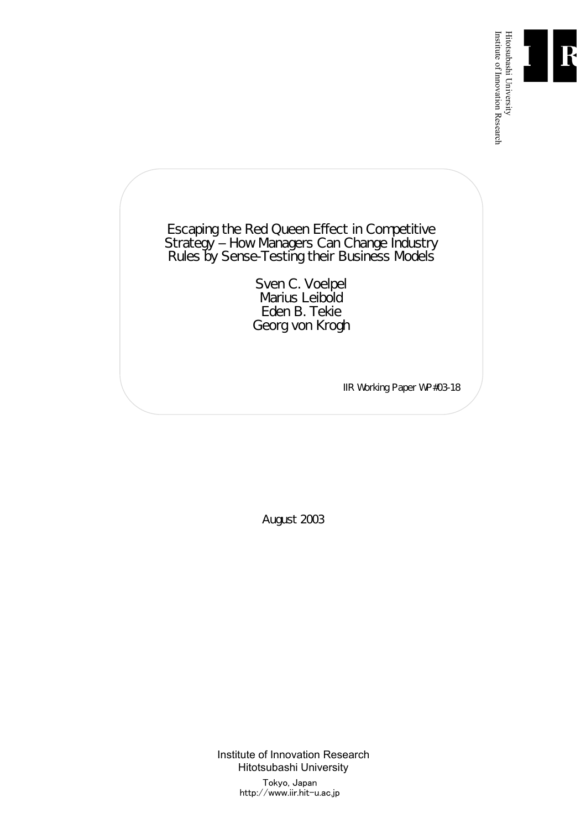

Institute of Innovation Research

Institute of Innovation Research

Escaping the Red Queen Effect in Competitive Strategy – How Managers Can Change Industry Rules by Sense-Testing their Business Models

> Sven C. Voelpel Marius Leibold Eden B. Tekie Georg von Krogh

> > IIR Working Paper WP#03-18

August 2003

Institute of Innovation Research Hitotsubashi University

Tokyo, Japan http://www.iir.hit-u.ac.jp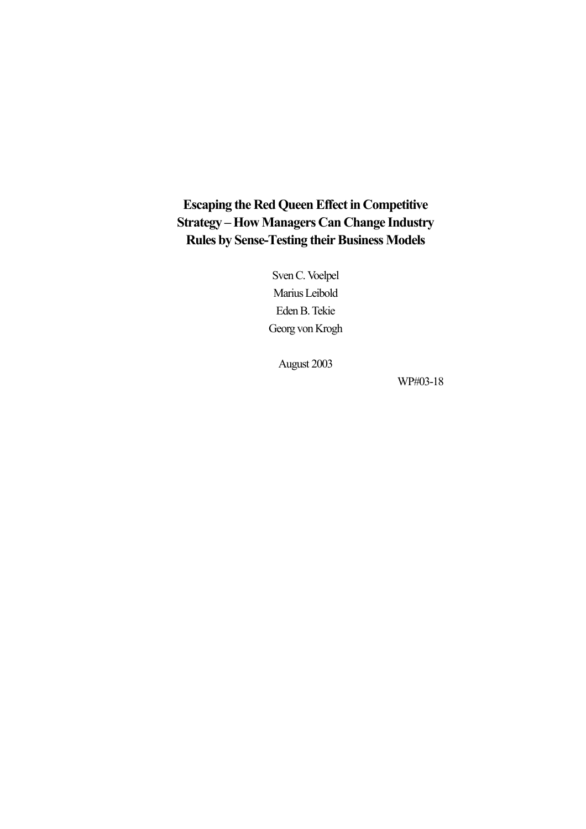# **Escaping the Red Queen Effect in Competitive Strategy – How Managers Can Change Industry Rules by Sense-Testing their Business Models**

Sven C. Voelpel Marius Leibold Eden B. Tekie Georg von Krogh

August 2003

WP#03-18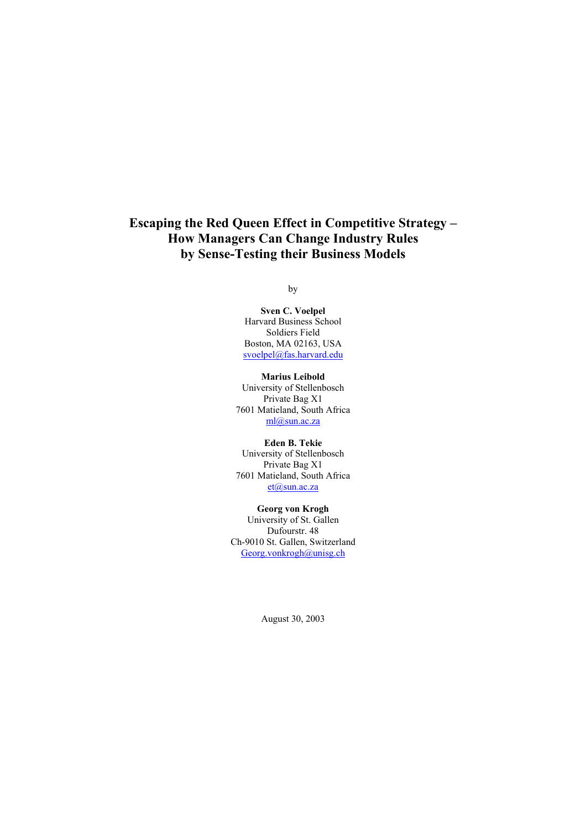# **Escaping the Red Queen Effect in Competitive Strategy – How Managers Can Change Industry Rules by Sense-Testing their Business Models**

by

**Sven C. Voelpel**  Harvard Business School Soldiers Field Boston, MA 02163, USA svoelpel@fas.harvard.edu

**Marius Leibold**  University of Stellenbosch Private Bag X1 7601 Matieland, South Africa ml@sun.ac.za

**Eden B. Tekie**  University of Stellenbosch Private Bag X1 7601 Matieland, South Africa et@sun.ac.za

**Georg von Krogh**  University of St. Gallen Dufourstr. 48 Ch-9010 St. Gallen, Switzerland Georg.vonkrogh@unisg.ch

August 30, 2003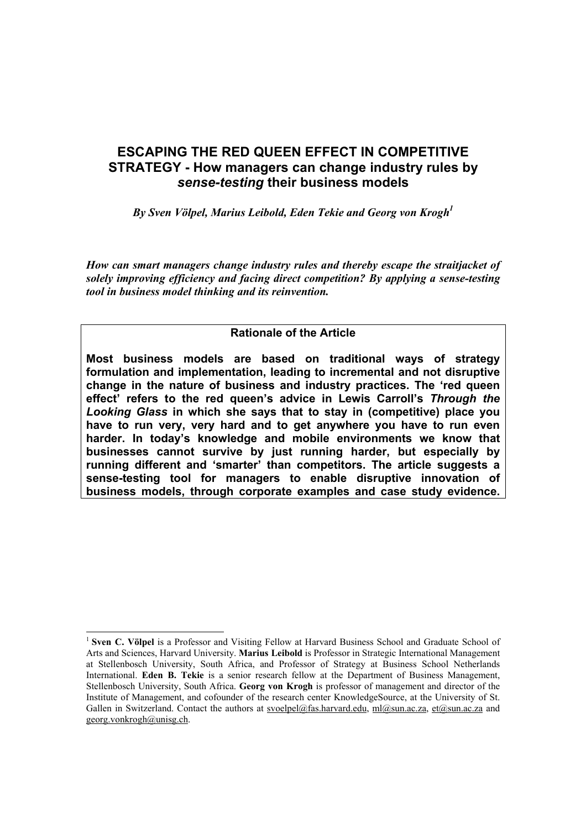# **ESCAPING THE RED QUEEN EFFECT IN COMPETITIVE STRATEGY - How managers can change industry rules by**  *sense-testing* **their business models**

*By Sven Völpel, Marius Leibold, Eden Tekie and Georg von Krogh1*

*How can smart managers change industry rules and thereby escape the straitjacket of solely improving efficiency and facing direct competition? By applying a sense-testing tool in business model thinking and its reinvention.* 

## **Rationale of the Article**

**Most business models are based on traditional ways of strategy formulation and implementation, leading to incremental and not disruptive change in the nature of business and industry practices. The 'red queen effect' refers to the red queen's advice in Lewis Carroll's** *Through the Looking Glass* **in which she says that to stay in (competitive) place you have to run very, very hard and to get anywhere you have to run even harder. In today's knowledge and mobile environments we know that businesses cannot survive by just running harder, but especially by running different and 'smarter' than competitors. The article suggests a sense-testing tool for managers to enable disruptive innovation of business models, through corporate examples and case study evidence.**

l

<sup>1</sup> **Sven C. Völpel** is a Professor and Visiting Fellow at Harvard Business School and Graduate School of Arts and Sciences, Harvard University. **Marius Leibold** is Professor in Strategic International Management at Stellenbosch University, South Africa, and Professor of Strategy at Business School Netherlands International. **Eden B. Tekie** is a senior research fellow at the Department of Business Management, Stellenbosch University, South Africa. **Georg von Krogh** is professor of management and director of the Institute of Management, and cofounder of the research center KnowledgeSource, at the University of St. Gallen in Switzerland. Contact the authors at  $\frac{\text{svo}(\hat{a}\text{fsa},\text{harvard.edu},\text{ml@sun.ac.za},\text{et@sun.ac.za},\text{and}}{\text{tot@sun.ac.za}}$ georg.vonkrogh@unisg.ch.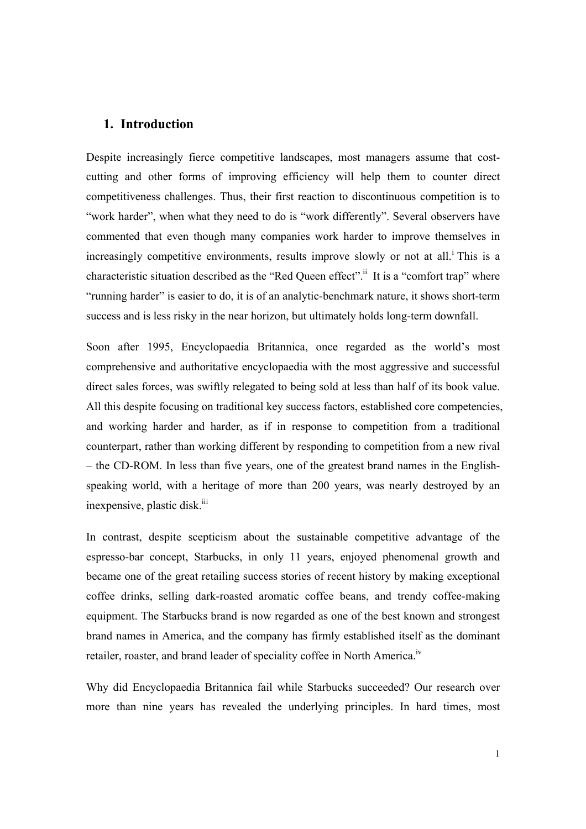# **1. Introduction**

Despite increasingly fierce competitive landscapes, most managers assume that costcutting and other forms of improving efficiency will help them to counter direct competitiveness challenges. Thus, their first reaction to discontinuous competition is to "work harder", when what they need to do is "work differently". Several observers have commented that even though many companies work harder to improve themselves in increasingly competitive environments, results improve slowly or not at all.<sup>i</sup> This is a characteristic situation described as the "Red Oueen effect".<sup>ii</sup> It is a "comfort trap" where "running harder" is easier to do, it is of an analytic-benchmark nature, it shows short-term success and is less risky in the near horizon, but ultimately holds long-term downfall.

Soon after 1995, Encyclopaedia Britannica, once regarded as the world's most comprehensive and authoritative encyclopaedia with the most aggressive and successful direct sales forces, was swiftly relegated to being sold at less than half of its book value. All this despite focusing on traditional key success factors, established core competencies, and working harder and harder, as if in response to competition from a traditional counterpart, rather than working different by responding to competition from a new rival – the CD-ROM. In less than five years, one of the greatest brand names in the Englishspeaking world, with a heritage of more than 200 years, was nearly destroyed by an inexpensive, plastic disk.<sup>iii</sup>

In contrast, despite scepticism about the sustainable competitive advantage of the espresso-bar concept, Starbucks, in only 11 years, enjoyed phenomenal growth and became one of the great retailing success stories of recent history by making exceptional coffee drinks, selling dark-roasted aromatic coffee beans, and trendy coffee-making equipment. The Starbucks brand is now regarded as one of the best known and strongest brand names in America, and the company has firmly established itself as the dominant retailer, roaster, and brand leader of speciality coffee in North America.<sup>iv</sup>

Why did Encyclopaedia Britannica fail while Starbucks succeeded? Our research over more than nine years has revealed the underlying principles. In hard times, most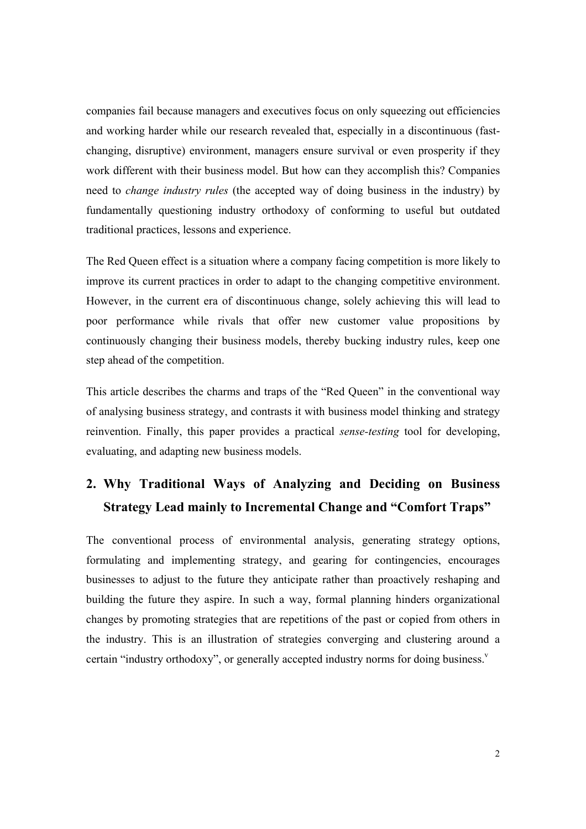companies fail because managers and executives focus on only squeezing out efficiencies and working harder while our research revealed that, especially in a discontinuous (fastchanging, disruptive) environment, managers ensure survival or even prosperity if they work different with their business model. But how can they accomplish this? Companies need to *change industry rules* (the accepted way of doing business in the industry) by fundamentally questioning industry orthodoxy of conforming to useful but outdated traditional practices, lessons and experience.

The Red Queen effect is a situation where a company facing competition is more likely to improve its current practices in order to adapt to the changing competitive environment. However, in the current era of discontinuous change, solely achieving this will lead to poor performance while rivals that offer new customer value propositions by continuously changing their business models, thereby bucking industry rules, keep one step ahead of the competition.

This article describes the charms and traps of the "Red Queen" in the conventional way of analysing business strategy, and contrasts it with business model thinking and strategy reinvention. Finally, this paper provides a practical *sense-testing* tool for developing, evaluating, and adapting new business models.

# **2. Why Traditional Ways of Analyzing and Deciding on Business Strategy Lead mainly to Incremental Change and "Comfort Traps"**

The conventional process of environmental analysis, generating strategy options, formulating and implementing strategy, and gearing for contingencies, encourages businesses to adjust to the future they anticipate rather than proactively reshaping and building the future they aspire. In such a way, formal planning hinders organizational changes by promoting strategies that are repetitions of the past or copied from others in the industry. This is an illustration of strategies converging and clustering around a certain "industry orthodoxy", or generally accepted industry norms for doing business.<sup>v</sup>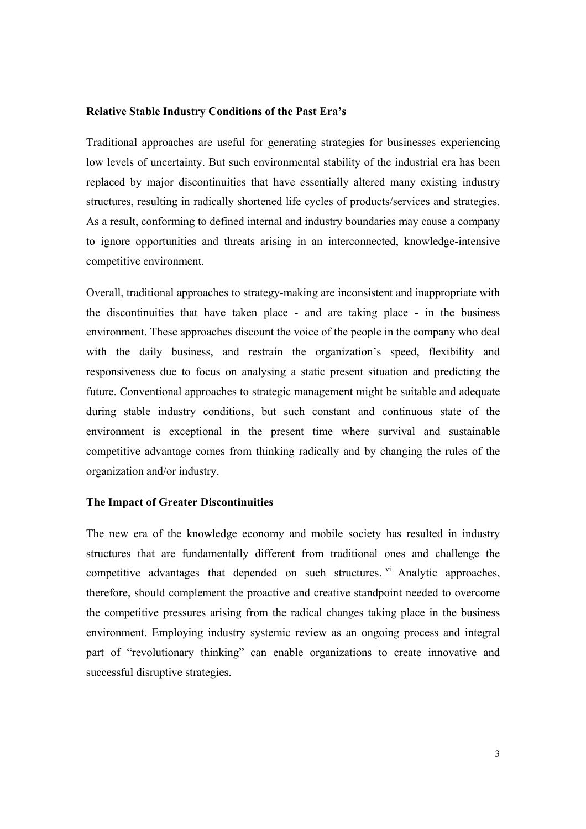### **Relative Stable Industry Conditions of the Past Era's**

Traditional approaches are useful for generating strategies for businesses experiencing low levels of uncertainty. But such environmental stability of the industrial era has been replaced by major discontinuities that have essentially altered many existing industry structures, resulting in radically shortened life cycles of products/services and strategies. As a result, conforming to defined internal and industry boundaries may cause a company to ignore opportunities and threats arising in an interconnected, knowledge-intensive competitive environment.

Overall, traditional approaches to strategy-making are inconsistent and inappropriate with the discontinuities that have taken place - and are taking place - in the business environment. These approaches discount the voice of the people in the company who deal with the daily business, and restrain the organization's speed, flexibility and responsiveness due to focus on analysing a static present situation and predicting the future. Conventional approaches to strategic management might be suitable and adequate during stable industry conditions, but such constant and continuous state of the environment is exceptional in the present time where survival and sustainable competitive advantage comes from thinking radically and by changing the rules of the organization and/or industry.

#### **The Impact of Greater Discontinuities**

The new era of the knowledge economy and mobile society has resulted in industry structures that are fundamentally different from traditional ones and challenge the competitive advantages that depended on such structures. vi Analytic approaches, therefore, should complement the proactive and creative standpoint needed to overcome the competitive pressures arising from the radical changes taking place in the business environment. Employing industry systemic review as an ongoing process and integral part of "revolutionary thinking" can enable organizations to create innovative and successful disruptive strategies.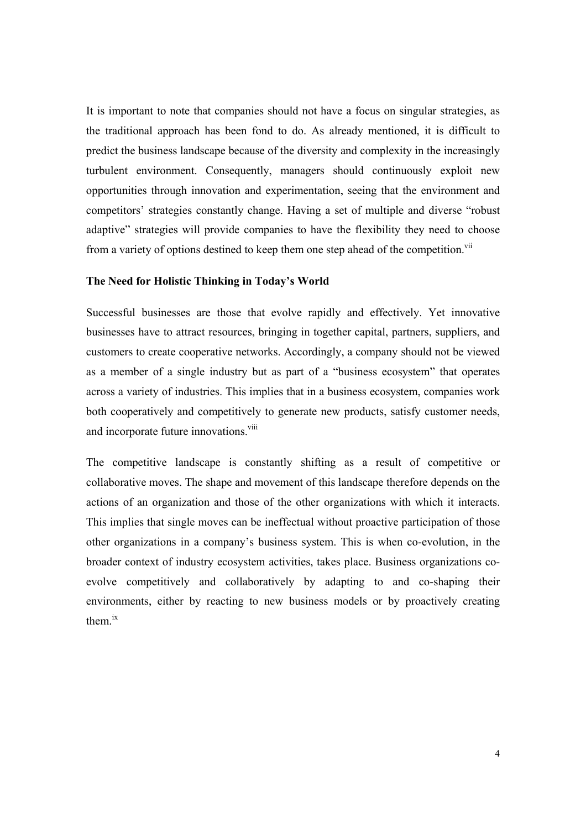It is important to note that companies should not have a focus on singular strategies, as the traditional approach has been fond to do. As already mentioned, it is difficult to predict the business landscape because of the diversity and complexity in the increasingly turbulent environment. Consequently, managers should continuously exploit new opportunities through innovation and experimentation, seeing that the environment and competitors' strategies constantly change. Having a set of multiple and diverse "robust adaptive" strategies will provide companies to have the flexibility they need to choose from a variety of options destined to keep them one step ahead of the competition.<sup>vii</sup>

### **The Need for Holistic Thinking in Today's World**

Successful businesses are those that evolve rapidly and effectively. Yet innovative businesses have to attract resources, bringing in together capital, partners, suppliers, and customers to create cooperative networks. Accordingly, a company should not be viewed as a member of a single industry but as part of a "business ecosystem" that operates across a variety of industries. This implies that in a business ecosystem, companies work both cooperatively and competitively to generate new products, satisfy customer needs, and incorporate future innovations.<sup>viii</sup>

The competitive landscape is constantly shifting as a result of competitive or collaborative moves. The shape and movement of this landscape therefore depends on the actions of an organization and those of the other organizations with which it interacts. This implies that single moves can be ineffectual without proactive participation of those other organizations in a company's business system. This is when co-evolution, in the broader context of industry ecosystem activities, takes place. Business organizations coevolve competitively and collaboratively by adapting to and co-shaping their environments, either by reacting to new business models or by proactively creating them ix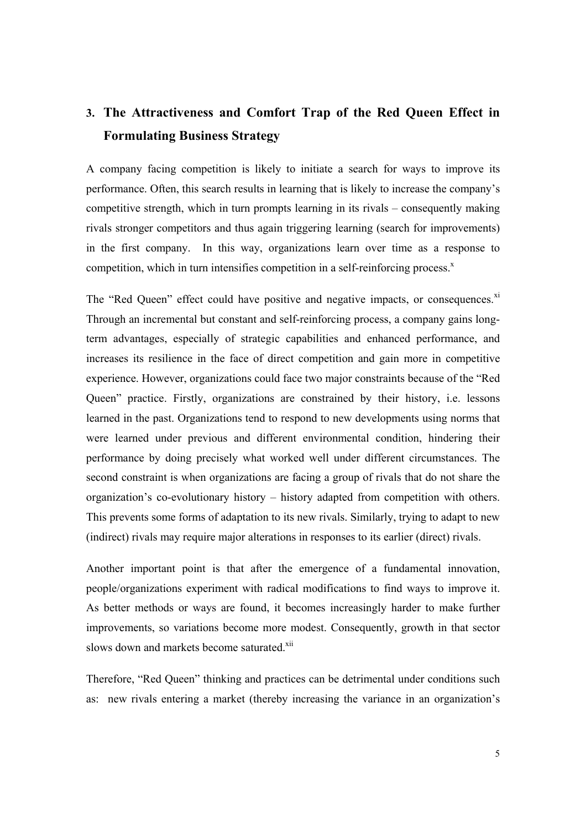# **3. The Attractiveness and Comfort Trap of the Red Queen Effect in Formulating Business Strategy**

A company facing competition is likely to initiate a search for ways to improve its performance. Often, this search results in learning that is likely to increase the company's competitive strength, which in turn prompts learning in its rivals – consequently making rivals stronger competitors and thus again triggering learning (search for improvements) in the first company. In this way, organizations learn over time as a response to competition, which in turn intensifies competition in a self-reinforcing process. $^x$ 

The "Red Queen" effect could have positive and negative impacts, or consequences.<sup>xi</sup> Through an incremental but constant and self-reinforcing process, a company gains longterm advantages, especially of strategic capabilities and enhanced performance, and increases its resilience in the face of direct competition and gain more in competitive experience. However, organizations could face two major constraints because of the "Red Queen" practice. Firstly, organizations are constrained by their history, i.e. lessons learned in the past. Organizations tend to respond to new developments using norms that were learned under previous and different environmental condition, hindering their performance by doing precisely what worked well under different circumstances. The second constraint is when organizations are facing a group of rivals that do not share the organization's co-evolutionary history – history adapted from competition with others. This prevents some forms of adaptation to its new rivals. Similarly, trying to adapt to new (indirect) rivals may require major alterations in responses to its earlier (direct) rivals.

Another important point is that after the emergence of a fundamental innovation, people/organizations experiment with radical modifications to find ways to improve it. As better methods or ways are found, it becomes increasingly harder to make further improvements, so variations become more modest. Consequently, growth in that sector slows down and markets become saturated.<sup>xii</sup>

Therefore, "Red Queen" thinking and practices can be detrimental under conditions such as: new rivals entering a market (thereby increasing the variance in an organization's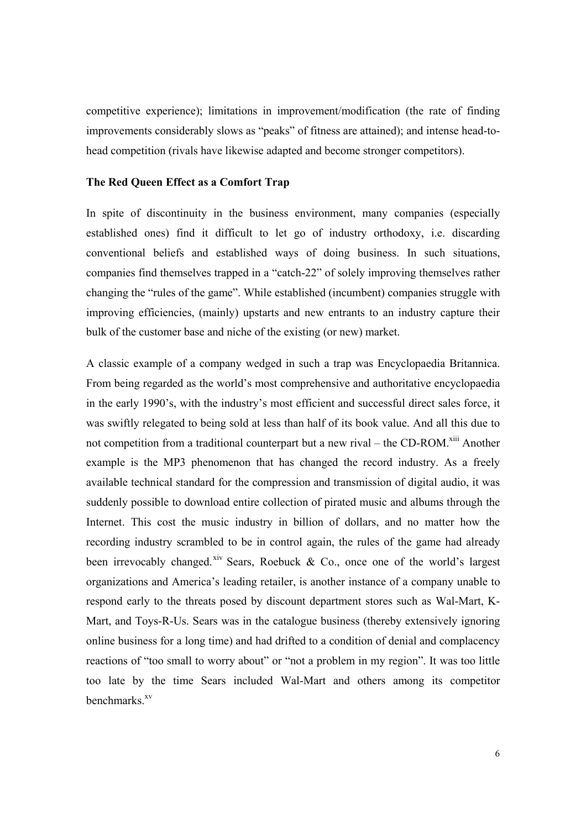competitive experience); limitations in improvement/modification (the rate of finding improvements considerably slows as "peaks" of fitness are attained); and intense head-tohead competition (rivals have likewise adapted and become stronger competitors).

### **The Red Queen Effect as a Comfort Trap**

In spite of discontinuity in the business environment, many companies (especially established ones) find it difficult to let go of industry orthodoxy, i.e. discarding conventional beliefs and established ways of doing business. In such situations, companies find themselves trapped in a "catch-22" of solely improving themselves rather changing the "rules of the game". While established (incumbent) companies struggle with improving efficiencies, (mainly) upstarts and new entrants to an industry capture their bulk of the customer base and niche of the existing (or new) market.

A classic example of a company wedged in such a trap was Encyclopaedia Britannica. From being regarded as the world's most comprehensive and authoritative encyclopaedia in the early 1990's, with the industry's most efficient and successful direct sales force, it was swiftly relegated to being sold at less than half of its book value. And all this due to not competition from a traditional counterpart but a new rival – the  $CD-ROM$ .<sup>xiii</sup> Another example is the MP3 phenomenon that has changed the record industry. As a freely available technical standard for the compression and transmission of digital audio, it was suddenly possible to download entire collection of pirated music and albums through the Internet. This cost the music industry in billion of dollars, and no matter how the recording industry scrambled to be in control again, the rules of the game had already been irrevocably changed.<sup>xiv</sup> Sears, Roebuck & Co., once one of the world's largest organizations and America's leading retailer, is another instance of a company unable to respond early to the threats posed by discount department stores such as Wal-Mart, K-Mart, and Toys-R-Us. Sears was in the catalogue business (thereby extensively ignoring online business for a long time) and had drifted to a condition of denial and complacency reactions of "too small to worry about" or "not a problem in my region". It was too little too late by the time Sears included Wal-Mart and others among its competitor benchmarks<sup>xv</sup>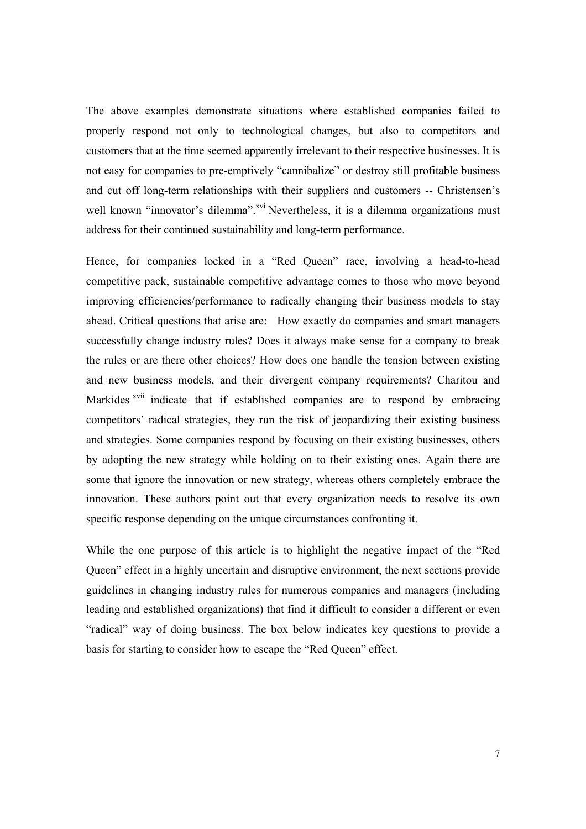The above examples demonstrate situations where established companies failed to properly respond not only to technological changes, but also to competitors and customers that at the time seemed apparently irrelevant to their respective businesses. It is not easy for companies to pre-emptively "cannibalize" or destroy still profitable business and cut off long-term relationships with their suppliers and customers -- Christensen's well known "innovator's dilemma".<sup>xvi</sup> Nevertheless, it is a dilemma organizations must address for their continued sustainability and long-term performance.

Hence, for companies locked in a "Red Queen" race, involving a head-to-head competitive pack, sustainable competitive advantage comes to those who move beyond improving efficiencies/performance to radically changing their business models to stay ahead. Critical questions that arise are: How exactly do companies and smart managers successfully change industry rules? Does it always make sense for a company to break the rules or are there other choices? How does one handle the tension between existing and new business models, and their divergent company requirements? Charitou and Markides <sup>xvii</sup> indicate that if established companies are to respond by embracing competitors' radical strategies, they run the risk of jeopardizing their existing business and strategies. Some companies respond by focusing on their existing businesses, others by adopting the new strategy while holding on to their existing ones. Again there are some that ignore the innovation or new strategy, whereas others completely embrace the innovation. These authors point out that every organization needs to resolve its own specific response depending on the unique circumstances confronting it.

While the one purpose of this article is to highlight the negative impact of the "Red Queen" effect in a highly uncertain and disruptive environment, the next sections provide guidelines in changing industry rules for numerous companies and managers (including leading and established organizations) that find it difficult to consider a different or even "radical" way of doing business. The box below indicates key questions to provide a basis for starting to consider how to escape the "Red Queen" effect.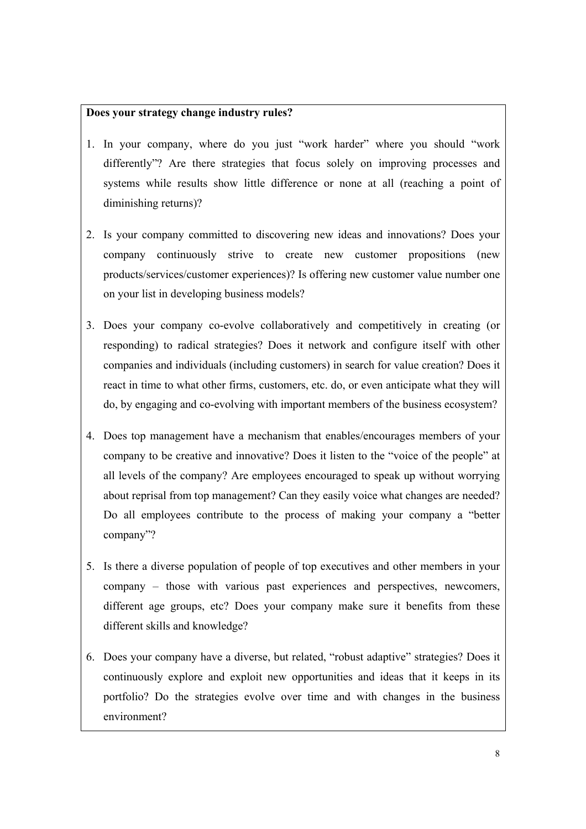## **Does your strategy change industry rules?**

- 1. In your company, where do you just "work harder" where you should "work differently"? Are there strategies that focus solely on improving processes and systems while results show little difference or none at all (reaching a point of diminishing returns)?
- 2. Is your company committed to discovering new ideas and innovations? Does your company continuously strive to create new customer propositions (new products/services/customer experiences)? Is offering new customer value number one on your list in developing business models?
- 3. Does your company co-evolve collaboratively and competitively in creating (or responding) to radical strategies? Does it network and configure itself with other companies and individuals (including customers) in search for value creation? Does it react in time to what other firms, customers, etc. do, or even anticipate what they will do, by engaging and co-evolving with important members of the business ecosystem?
- 4. Does top management have a mechanism that enables/encourages members of your company to be creative and innovative? Does it listen to the "voice of the people" at all levels of the company? Are employees encouraged to speak up without worrying about reprisal from top management? Can they easily voice what changes are needed? Do all employees contribute to the process of making your company a "better company"?
- 5. Is there a diverse population of people of top executives and other members in your company – those with various past experiences and perspectives, newcomers, different age groups, etc? Does your company make sure it benefits from these different skills and knowledge?
- 6. Does your company have a diverse, but related, "robust adaptive" strategies? Does it continuously explore and exploit new opportunities and ideas that it keeps in its portfolio? Do the strategies evolve over time and with changes in the business environment?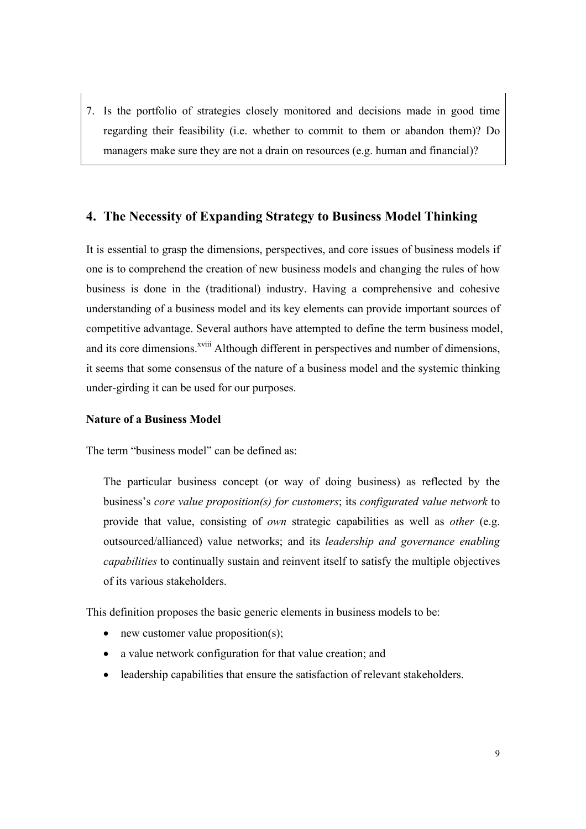7. Is the portfolio of strategies closely monitored and decisions made in good time regarding their feasibility (i.e. whether to commit to them or abandon them)? Do managers make sure they are not a drain on resources (e.g. human and financial)?

## **4. The Necessity of Expanding Strategy to Business Model Thinking**

It is essential to grasp the dimensions, perspectives, and core issues of business models if one is to comprehend the creation of new business models and changing the rules of how business is done in the (traditional) industry. Having a comprehensive and cohesive understanding of a business model and its key elements can provide important sources of competitive advantage. Several authors have attempted to define the term business model, and its core dimensions.<sup>xviii</sup> Although different in perspectives and number of dimensions, it seems that some consensus of the nature of a business model and the systemic thinking under-girding it can be used for our purposes.

### **Nature of a Business Model**

The term "business model" can be defined as:

The particular business concept (or way of doing business) as reflected by the business's *core value proposition(s) for customers*; its *configurated value network* to provide that value, consisting of *own* strategic capabilities as well as *other* (e.g. outsourced/allianced) value networks; and its *leadership and governance enabling capabilities* to continually sustain and reinvent itself to satisfy the multiple objectives of its various stakeholders.

This definition proposes the basic generic elements in business models to be:

- new customer value proposition(s);
- a value network configuration for that value creation; and
- leadership capabilities that ensure the satisfaction of relevant stakeholders.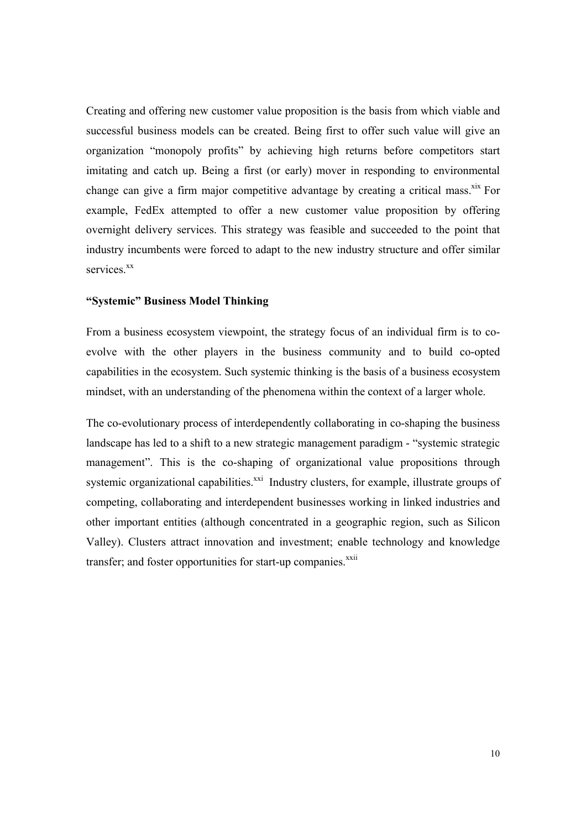Creating and offering new customer value proposition is the basis from which viable and successful business models can be created. Being first to offer such value will give an organization "monopoly profits" by achieving high returns before competitors start imitating and catch up. Being a first (or early) mover in responding to environmental change can give a firm major competitive advantage by creating a critical mass. $\frac{xx}{x}$  For example, FedEx attempted to offer a new customer value proposition by offering overnight delivery services. This strategy was feasible and succeeded to the point that industry incumbents were forced to adapt to the new industry structure and offer similar services<sup>xx</sup>

### **"Systemic" Business Model Thinking**

From a business ecosystem viewpoint, the strategy focus of an individual firm is to coevolve with the other players in the business community and to build co-opted capabilities in the ecosystem. Such systemic thinking is the basis of a business ecosystem mindset, with an understanding of the phenomena within the context of a larger whole.

The co-evolutionary process of interdependently collaborating in co-shaping the business landscape has led to a shift to a new strategic management paradigm - "systemic strategic management". This is the co-shaping of organizational value propositions through systemic organizational capabilities.<sup>xxi</sup> Industry clusters, for example, illustrate groups of competing, collaborating and interdependent businesses working in linked industries and other important entities (although concentrated in a geographic region, such as Silicon Valley). Clusters attract innovation and investment; enable technology and knowledge transfer; and foster opportunities for start-up companies.<sup>xxii</sup>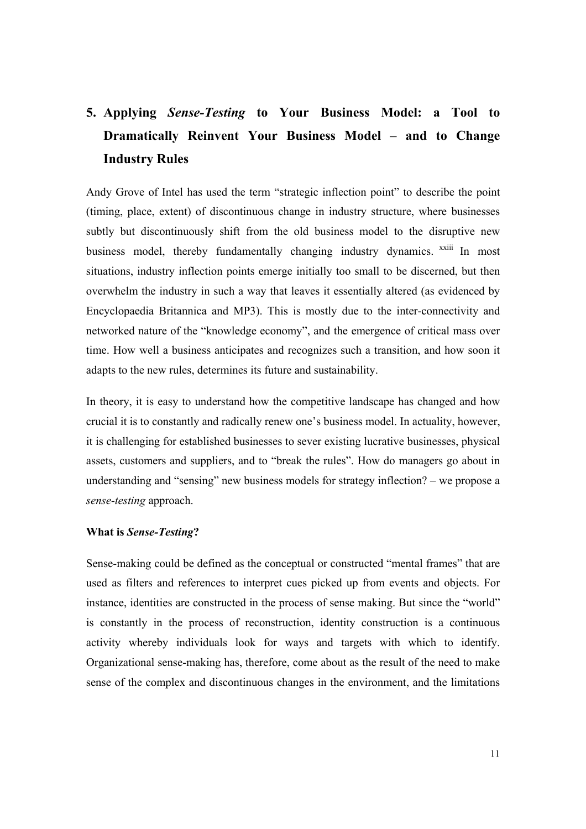# **5. Applying** *Sense-Testing* **to Your Business Model: a Tool to Dramatically Reinvent Your Business Model – and to Change Industry Rules**

Andy Grove of Intel has used the term "strategic inflection point" to describe the point (timing, place, extent) of discontinuous change in industry structure, where businesses subtly but discontinuously shift from the old business model to the disruptive new business model, thereby fundamentally changing industry dynamics. <sup>xxiii</sup> In most situations, industry inflection points emerge initially too small to be discerned, but then overwhelm the industry in such a way that leaves it essentially altered (as evidenced by Encyclopaedia Britannica and MP3). This is mostly due to the inter-connectivity and networked nature of the "knowledge economy", and the emergence of critical mass over time. How well a business anticipates and recognizes such a transition, and how soon it adapts to the new rules, determines its future and sustainability.

In theory, it is easy to understand how the competitive landscape has changed and how crucial it is to constantly and radically renew one's business model. In actuality, however, it is challenging for established businesses to sever existing lucrative businesses, physical assets, customers and suppliers, and to "break the rules". How do managers go about in understanding and "sensing" new business models for strategy inflection? – we propose a *sense-testing* approach.

### **What is** *Sense-Testing***?**

Sense-making could be defined as the conceptual or constructed "mental frames" that are used as filters and references to interpret cues picked up from events and objects. For instance, identities are constructed in the process of sense making. But since the "world" is constantly in the process of reconstruction, identity construction is a continuous activity whereby individuals look for ways and targets with which to identify. Organizational sense-making has, therefore, come about as the result of the need to make sense of the complex and discontinuous changes in the environment, and the limitations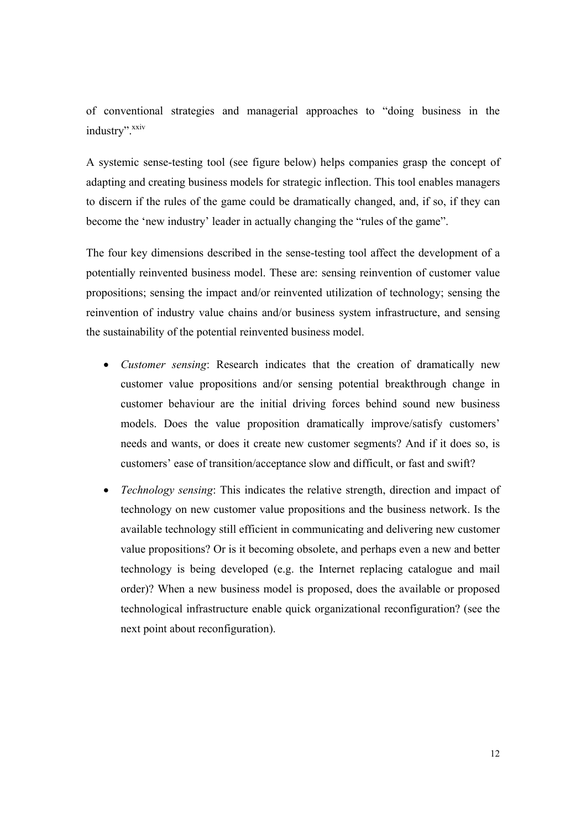of conventional strategies and managerial approaches to "doing business in the industry".<sup>xxiv</sup>

A systemic sense-testing tool (see figure below) helps companies grasp the concept of adapting and creating business models for strategic inflection. This tool enables managers to discern if the rules of the game could be dramatically changed, and, if so, if they can become the 'new industry' leader in actually changing the "rules of the game".

The four key dimensions described in the sense-testing tool affect the development of a potentially reinvented business model. These are: sensing reinvention of customer value propositions; sensing the impact and/or reinvented utilization of technology; sensing the reinvention of industry value chains and/or business system infrastructure, and sensing the sustainability of the potential reinvented business model.

- *Customer sensing*: Research indicates that the creation of dramatically new customer value propositions and/or sensing potential breakthrough change in customer behaviour are the initial driving forces behind sound new business models. Does the value proposition dramatically improve/satisfy customers' needs and wants, or does it create new customer segments? And if it does so, is customers' ease of transition/acceptance slow and difficult, or fast and swift?
- *Technology sensing*: This indicates the relative strength, direction and impact of technology on new customer value propositions and the business network. Is the available technology still efficient in communicating and delivering new customer value propositions? Or is it becoming obsolete, and perhaps even a new and better technology is being developed (e.g. the Internet replacing catalogue and mail order)? When a new business model is proposed, does the available or proposed technological infrastructure enable quick organizational reconfiguration? (see the next point about reconfiguration).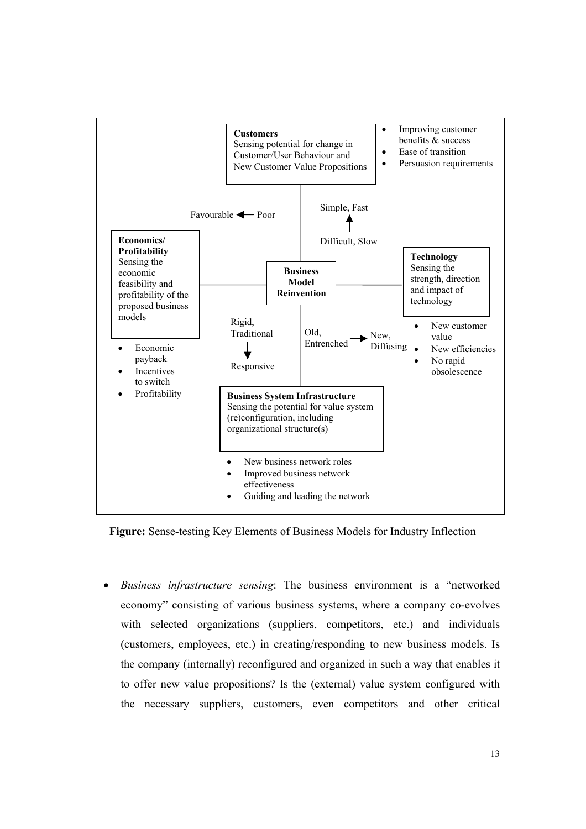

**Figure:** Sense-testing Key Elements of Business Models for Industry Inflection

• *Business infrastructure sensing*: The business environment is a "networked economy" consisting of various business systems, where a company co-evolves with selected organizations (suppliers, competitors, etc.) and individuals (customers, employees, etc.) in creating/responding to new business models. Is the company (internally) reconfigured and organized in such a way that enables it to offer new value propositions? Is the (external) value system configured with the necessary suppliers, customers, even competitors and other critical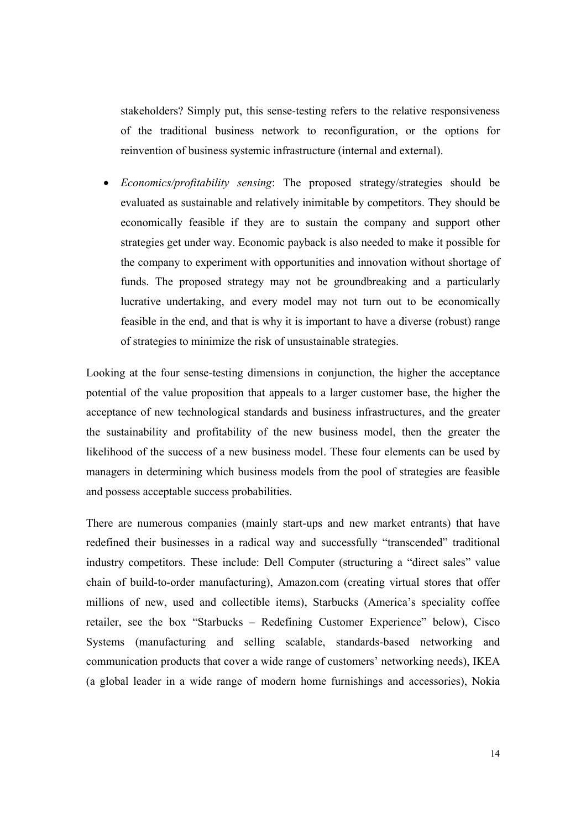stakeholders? Simply put, this sense-testing refers to the relative responsiveness of the traditional business network to reconfiguration, or the options for reinvention of business systemic infrastructure (internal and external).

• *Economics/profitability sensing*: The proposed strategy/strategies should be evaluated as sustainable and relatively inimitable by competitors. They should be economically feasible if they are to sustain the company and support other strategies get under way. Economic payback is also needed to make it possible for the company to experiment with opportunities and innovation without shortage of funds. The proposed strategy may not be groundbreaking and a particularly lucrative undertaking, and every model may not turn out to be economically feasible in the end, and that is why it is important to have a diverse (robust) range of strategies to minimize the risk of unsustainable strategies.

Looking at the four sense-testing dimensions in conjunction, the higher the acceptance potential of the value proposition that appeals to a larger customer base, the higher the acceptance of new technological standards and business infrastructures, and the greater the sustainability and profitability of the new business model, then the greater the likelihood of the success of a new business model. These four elements can be used by managers in determining which business models from the pool of strategies are feasible and possess acceptable success probabilities.

There are numerous companies (mainly start-ups and new market entrants) that have redefined their businesses in a radical way and successfully "transcended" traditional industry competitors. These include: Dell Computer (structuring a "direct sales" value chain of build-to-order manufacturing), Amazon.com (creating virtual stores that offer millions of new, used and collectible items), Starbucks (America's speciality coffee retailer, see the box "Starbucks – Redefining Customer Experience" below), Cisco Systems (manufacturing and selling scalable, standards-based networking and communication products that cover a wide range of customers' networking needs), IKEA (a global leader in a wide range of modern home furnishings and accessories), Nokia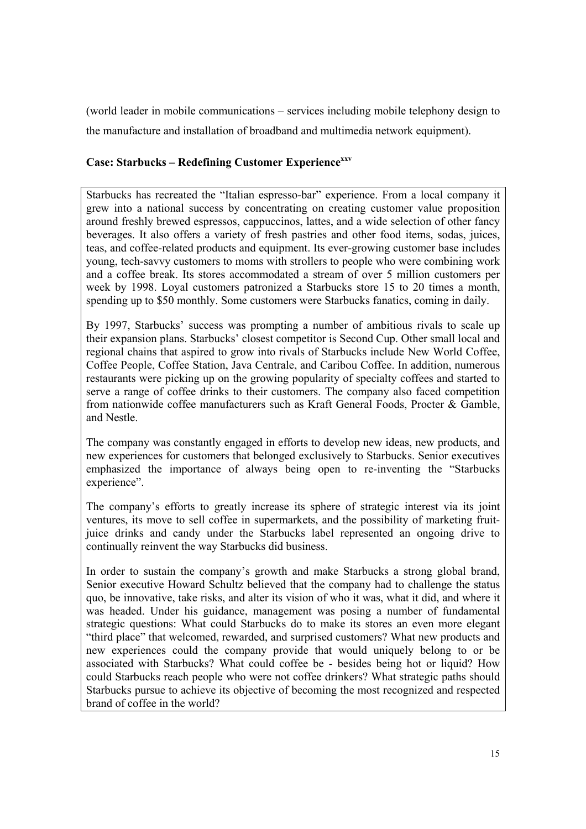(world leader in mobile communications – services including mobile telephony design to the manufacture and installation of broadband and multimedia network equipment).

# Case: Starbucks – Redefining Customer Experience<sup>xxv</sup>

Starbucks has recreated the "Italian espresso-bar" experience. From a local company it grew into a national success by concentrating on creating customer value proposition around freshly brewed espressos, cappuccinos, lattes, and a wide selection of other fancy beverages. It also offers a variety of fresh pastries and other food items, sodas, juices, teas, and coffee-related products and equipment. Its ever-growing customer base includes young, tech-savvy customers to moms with strollers to people who were combining work and a coffee break. Its stores accommodated a stream of over 5 million customers per week by 1998. Loyal customers patronized a Starbucks store 15 to 20 times a month, spending up to \$50 monthly. Some customers were Starbucks fanatics, coming in daily.

By 1997, Starbucks' success was prompting a number of ambitious rivals to scale up their expansion plans. Starbucks' closest competitor is Second Cup. Other small local and regional chains that aspired to grow into rivals of Starbucks include New World Coffee, Coffee People, Coffee Station, Java Centrale, and Caribou Coffee. In addition, numerous restaurants were picking up on the growing popularity of specialty coffees and started to serve a range of coffee drinks to their customers. The company also faced competition from nationwide coffee manufacturers such as Kraft General Foods, Procter & Gamble, and Nestle.

The company was constantly engaged in efforts to develop new ideas, new products, and new experiences for customers that belonged exclusively to Starbucks. Senior executives emphasized the importance of always being open to re-inventing the "Starbucks experience".

The company's efforts to greatly increase its sphere of strategic interest via its joint ventures, its move to sell coffee in supermarkets, and the possibility of marketing fruitjuice drinks and candy under the Starbucks label represented an ongoing drive to continually reinvent the way Starbucks did business.

In order to sustain the company's growth and make Starbucks a strong global brand, Senior executive Howard Schultz believed that the company had to challenge the status quo, be innovative, take risks, and alter its vision of who it was, what it did, and where it was headed. Under his guidance, management was posing a number of fundamental strategic questions: What could Starbucks do to make its stores an even more elegant "third place" that welcomed, rewarded, and surprised customers? What new products and new experiences could the company provide that would uniquely belong to or be associated with Starbucks? What could coffee be - besides being hot or liquid? How could Starbucks reach people who were not coffee drinkers? What strategic paths should Starbucks pursue to achieve its objective of becoming the most recognized and respected brand of coffee in the world?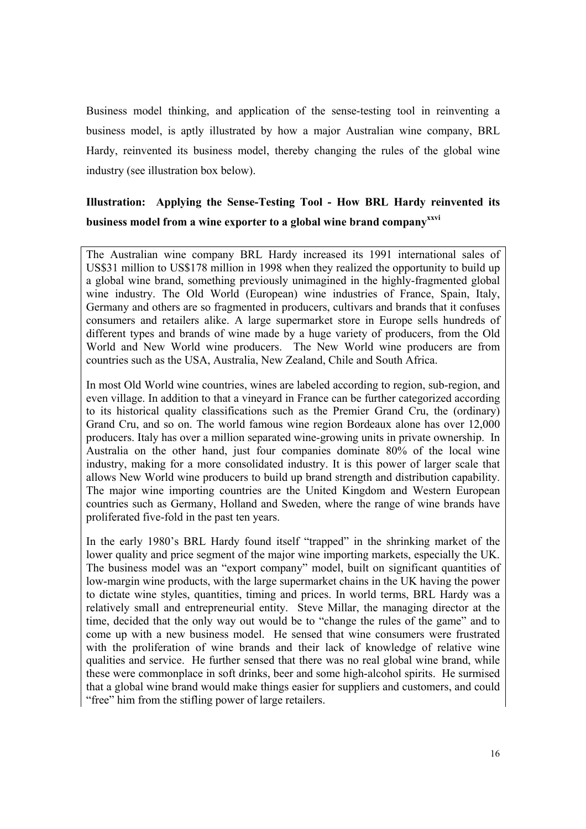Business model thinking, and application of the sense-testing tool in reinventing a business model, is aptly illustrated by how a major Australian wine company, BRL Hardy, reinvented its business model, thereby changing the rules of the global wine industry (see illustration box below).

# **Illustration: Applying the Sense-Testing Tool - How BRL Hardy reinvented its business model from a wine exporter to a global wine brand companyxxvi**

The Australian wine company BRL Hardy increased its 1991 international sales of US\$31 million to US\$178 million in 1998 when they realized the opportunity to build up a global wine brand, something previously unimagined in the highly-fragmented global wine industry. The Old World (European) wine industries of France, Spain, Italy, Germany and others are so fragmented in producers, cultivars and brands that it confuses consumers and retailers alike. A large supermarket store in Europe sells hundreds of different types and brands of wine made by a huge variety of producers, from the Old World and New World wine producers. The New World wine producers are from countries such as the USA, Australia, New Zealand, Chile and South Africa.

In most Old World wine countries, wines are labeled according to region, sub-region, and even village. In addition to that a vineyard in France can be further categorized according to its historical quality classifications such as the Premier Grand Cru, the (ordinary) Grand Cru, and so on. The world famous wine region Bordeaux alone has over 12,000 producers. Italy has over a million separated wine-growing units in private ownership. In Australia on the other hand, just four companies dominate 80% of the local wine industry, making for a more consolidated industry. It is this power of larger scale that allows New World wine producers to build up brand strength and distribution capability. The major wine importing countries are the United Kingdom and Western European countries such as Germany, Holland and Sweden, where the range of wine brands have proliferated five-fold in the past ten years.

In the early 1980's BRL Hardy found itself "trapped" in the shrinking market of the lower quality and price segment of the major wine importing markets, especially the UK. The business model was an "export company" model, built on significant quantities of low-margin wine products, with the large supermarket chains in the UK having the power to dictate wine styles, quantities, timing and prices. In world terms, BRL Hardy was a relatively small and entrepreneurial entity. Steve Millar, the managing director at the time, decided that the only way out would be to "change the rules of the game" and to come up with a new business model. He sensed that wine consumers were frustrated with the proliferation of wine brands and their lack of knowledge of relative wine qualities and service. He further sensed that there was no real global wine brand, while these were commonplace in soft drinks, beer and some high-alcohol spirits. He surmised that a global wine brand would make things easier for suppliers and customers, and could "free" him from the stifling power of large retailers.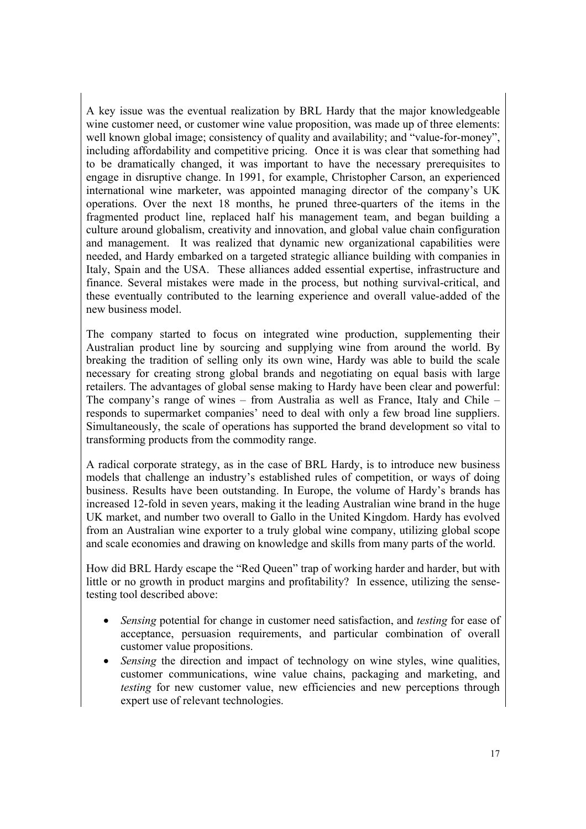A key issue was the eventual realization by BRL Hardy that the major knowledgeable wine customer need, or customer wine value proposition, was made up of three elements: well known global image; consistency of quality and availability; and "value-for-money". including affordability and competitive pricing. Once it is was clear that something had to be dramatically changed, it was important to have the necessary prerequisites to engage in disruptive change. In 1991, for example, Christopher Carson, an experienced international wine marketer, was appointed managing director of the company's UK operations. Over the next 18 months, he pruned three-quarters of the items in the fragmented product line, replaced half his management team, and began building a culture around globalism, creativity and innovation, and global value chain configuration and management. It was realized that dynamic new organizational capabilities were needed, and Hardy embarked on a targeted strategic alliance building with companies in Italy, Spain and the USA. These alliances added essential expertise, infrastructure and finance. Several mistakes were made in the process, but nothing survival-critical, and these eventually contributed to the learning experience and overall value-added of the new business model.

The company started to focus on integrated wine production, supplementing their Australian product line by sourcing and supplying wine from around the world. By breaking the tradition of selling only its own wine, Hardy was able to build the scale necessary for creating strong global brands and negotiating on equal basis with large retailers. The advantages of global sense making to Hardy have been clear and powerful: The company's range of wines – from Australia as well as France, Italy and Chile – responds to supermarket companies' need to deal with only a few broad line suppliers. Simultaneously, the scale of operations has supported the brand development so vital to transforming products from the commodity range.

A radical corporate strategy, as in the case of BRL Hardy, is to introduce new business models that challenge an industry's established rules of competition, or ways of doing business. Results have been outstanding. In Europe, the volume of Hardy's brands has increased 12-fold in seven years, making it the leading Australian wine brand in the huge UK market, and number two overall to Gallo in the United Kingdom. Hardy has evolved from an Australian wine exporter to a truly global wine company, utilizing global scope and scale economies and drawing on knowledge and skills from many parts of the world.

How did BRL Hardy escape the "Red Queen" trap of working harder and harder, but with little or no growth in product margins and profitability? In essence, utilizing the sensetesting tool described above:

- *Sensing* potential for change in customer need satisfaction, and *testing* for ease of acceptance, persuasion requirements, and particular combination of overall customer value propositions.
- *Sensing* the direction and impact of technology on wine styles, wine qualities, customer communications, wine value chains, packaging and marketing, and *testing* for new customer value, new efficiencies and new perceptions through expert use of relevant technologies.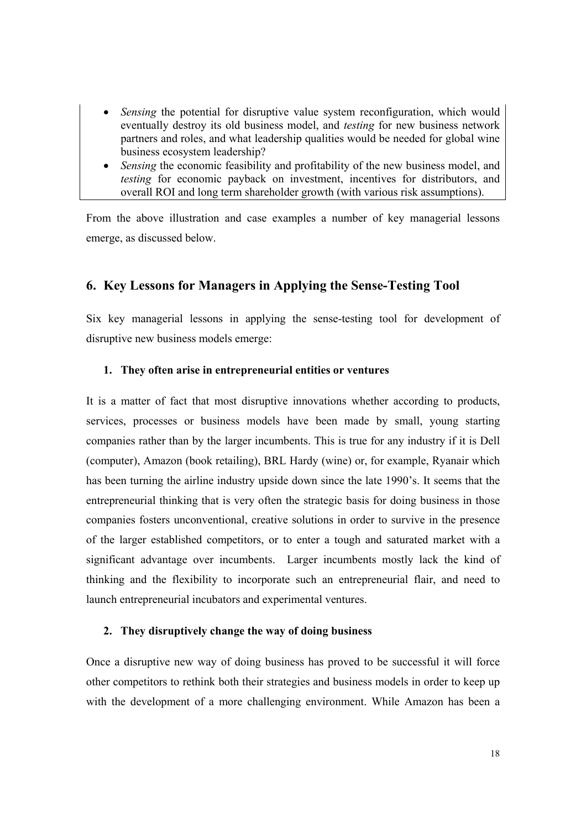- *Sensing* the potential for disruptive value system reconfiguration, which would eventually destroy its old business model, and *testing* for new business network partners and roles, and what leadership qualities would be needed for global wine business ecosystem leadership?
- *Sensing* the economic feasibility and profitability of the new business model, and *testing* for economic payback on investment, incentives for distributors, and overall ROI and long term shareholder growth (with various risk assumptions).

From the above illustration and case examples a number of key managerial lessons emerge, as discussed below.

# **6. Key Lessons for Managers in Applying the Sense-Testing Tool**

Six key managerial lessons in applying the sense-testing tool for development of disruptive new business models emerge:

## **1. They often arise in entrepreneurial entities or ventures**

It is a matter of fact that most disruptive innovations whether according to products, services, processes or business models have been made by small, young starting companies rather than by the larger incumbents. This is true for any industry if it is Dell (computer), Amazon (book retailing), BRL Hardy (wine) or, for example, Ryanair which has been turning the airline industry upside down since the late 1990's. It seems that the entrepreneurial thinking that is very often the strategic basis for doing business in those companies fosters unconventional, creative solutions in order to survive in the presence of the larger established competitors, or to enter a tough and saturated market with a significant advantage over incumbents. Larger incumbents mostly lack the kind of thinking and the flexibility to incorporate such an entrepreneurial flair, and need to launch entrepreneurial incubators and experimental ventures.

## **2. They disruptively change the way of doing business**

Once a disruptive new way of doing business has proved to be successful it will force other competitors to rethink both their strategies and business models in order to keep up with the development of a more challenging environment. While Amazon has been a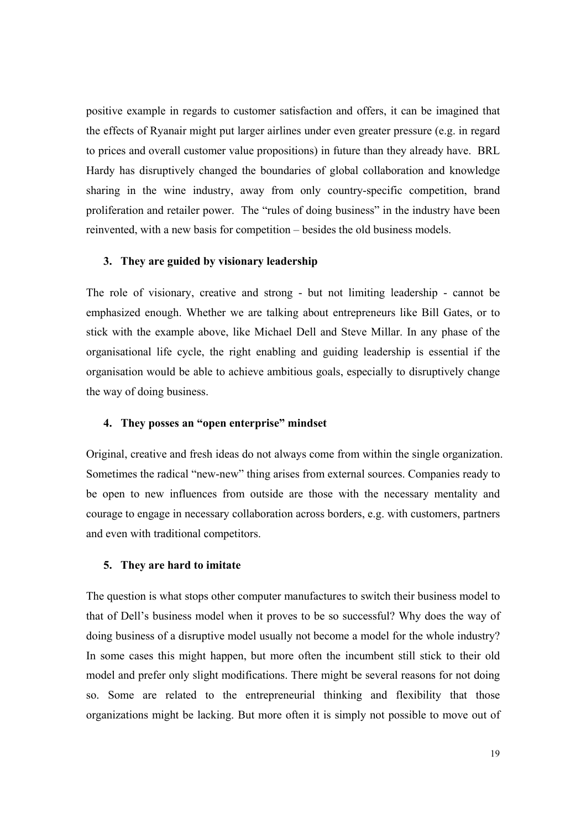positive example in regards to customer satisfaction and offers, it can be imagined that the effects of Ryanair might put larger airlines under even greater pressure (e.g. in regard to prices and overall customer value propositions) in future than they already have. BRL Hardy has disruptively changed the boundaries of global collaboration and knowledge sharing in the wine industry, away from only country-specific competition, brand proliferation and retailer power. The "rules of doing business" in the industry have been reinvented, with a new basis for competition – besides the old business models.

### **3. They are guided by visionary leadership**

The role of visionary, creative and strong - but not limiting leadership - cannot be emphasized enough. Whether we are talking about entrepreneurs like Bill Gates, or to stick with the example above, like Michael Dell and Steve Millar. In any phase of the organisational life cycle, the right enabling and guiding leadership is essential if the organisation would be able to achieve ambitious goals, especially to disruptively change the way of doing business.

#### **4. They posses an "open enterprise" mindset**

Original, creative and fresh ideas do not always come from within the single organization. Sometimes the radical "new-new" thing arises from external sources. Companies ready to be open to new influences from outside are those with the necessary mentality and courage to engage in necessary collaboration across borders, e.g. with customers, partners and even with traditional competitors.

#### **5. They are hard to imitate**

The question is what stops other computer manufactures to switch their business model to that of Dell's business model when it proves to be so successful? Why does the way of doing business of a disruptive model usually not become a model for the whole industry? In some cases this might happen, but more often the incumbent still stick to their old model and prefer only slight modifications. There might be several reasons for not doing so. Some are related to the entrepreneurial thinking and flexibility that those organizations might be lacking. But more often it is simply not possible to move out of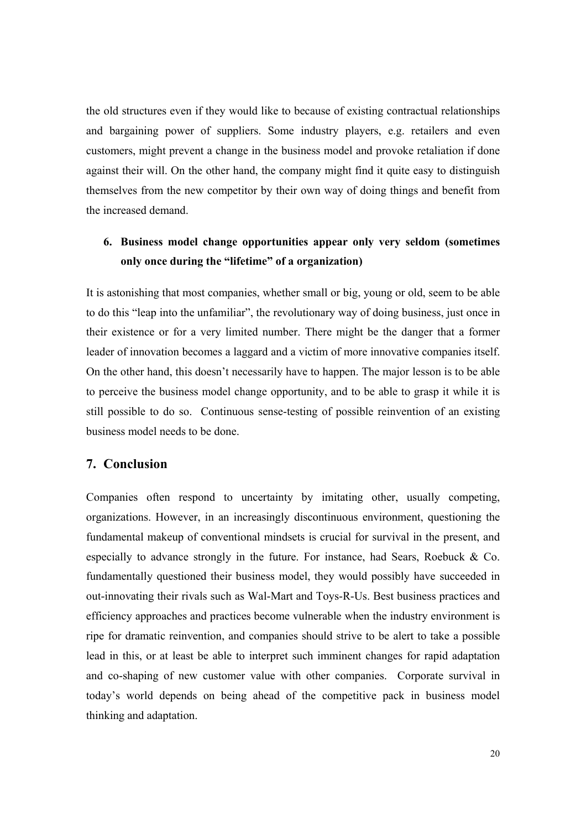the old structures even if they would like to because of existing contractual relationships and bargaining power of suppliers. Some industry players, e.g. retailers and even customers, might prevent a change in the business model and provoke retaliation if done against their will. On the other hand, the company might find it quite easy to distinguish themselves from the new competitor by their own way of doing things and benefit from the increased demand.

# **6. Business model change opportunities appear only very seldom (sometimes only once during the "lifetime" of a organization)**

It is astonishing that most companies, whether small or big, young or old, seem to be able to do this "leap into the unfamiliar", the revolutionary way of doing business, just once in their existence or for a very limited number. There might be the danger that a former leader of innovation becomes a laggard and a victim of more innovative companies itself. On the other hand, this doesn't necessarily have to happen. The major lesson is to be able to perceive the business model change opportunity, and to be able to grasp it while it is still possible to do so. Continuous sense-testing of possible reinvention of an existing business model needs to be done.

### **7. Conclusion**

Companies often respond to uncertainty by imitating other, usually competing, organizations. However, in an increasingly discontinuous environment, questioning the fundamental makeup of conventional mindsets is crucial for survival in the present, and especially to advance strongly in the future. For instance, had Sears, Roebuck & Co. fundamentally questioned their business model, they would possibly have succeeded in out-innovating their rivals such as Wal-Mart and Toys-R-Us. Best business practices and efficiency approaches and practices become vulnerable when the industry environment is ripe for dramatic reinvention, and companies should strive to be alert to take a possible lead in this, or at least be able to interpret such imminent changes for rapid adaptation and co-shaping of new customer value with other companies. Corporate survival in today's world depends on being ahead of the competitive pack in business model thinking and adaptation.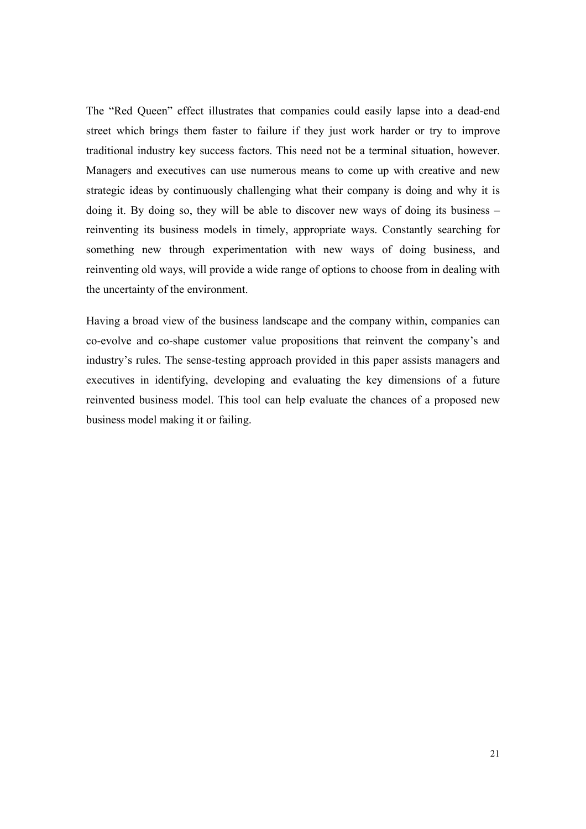The "Red Queen" effect illustrates that companies could easily lapse into a dead-end street which brings them faster to failure if they just work harder or try to improve traditional industry key success factors. This need not be a terminal situation, however. Managers and executives can use numerous means to come up with creative and new strategic ideas by continuously challenging what their company is doing and why it is doing it. By doing so, they will be able to discover new ways of doing its business – reinventing its business models in timely, appropriate ways. Constantly searching for something new through experimentation with new ways of doing business, and reinventing old ways, will provide a wide range of options to choose from in dealing with the uncertainty of the environment.

Having a broad view of the business landscape and the company within, companies can co-evolve and co-shape customer value propositions that reinvent the company's and industry's rules. The sense-testing approach provided in this paper assists managers and executives in identifying, developing and evaluating the key dimensions of a future reinvented business model. This tool can help evaluate the chances of a proposed new business model making it or failing.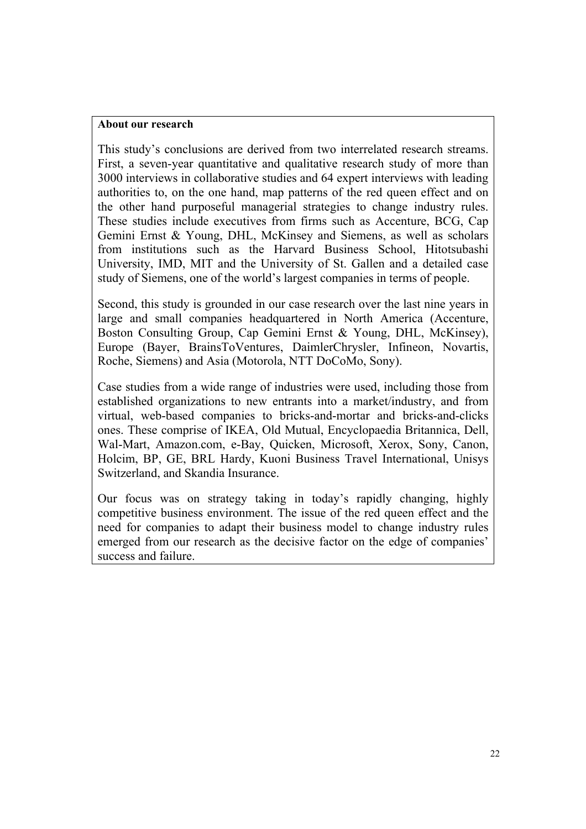## **About our research**

This study's conclusions are derived from two interrelated research streams. First, a seven-year quantitative and qualitative research study of more than 3000 interviews in collaborative studies and 64 expert interviews with leading authorities to, on the one hand, map patterns of the red queen effect and on the other hand purposeful managerial strategies to change industry rules. These studies include executives from firms such as Accenture, BCG, Cap Gemini Ernst & Young, DHL, McKinsey and Siemens, as well as scholars from institutions such as the Harvard Business School, Hitotsubashi University, IMD, MIT and the University of St. Gallen and a detailed case study of Siemens, one of the world's largest companies in terms of people.

Second, this study is grounded in our case research over the last nine years in large and small companies headquartered in North America (Accenture, Boston Consulting Group, Cap Gemini Ernst & Young, DHL, McKinsey), Europe (Bayer, BrainsToVentures, DaimlerChrysler, Infineon, Novartis, Roche, Siemens) and Asia (Motorola, NTT DoCoMo, Sony).

Case studies from a wide range of industries were used, including those from established organizations to new entrants into a market/industry, and from virtual, web-based companies to bricks-and-mortar and bricks-and-clicks ones. These comprise of IKEA, Old Mutual, Encyclopaedia Britannica, Dell, Wal-Mart, Amazon.com, e-Bay, Quicken, Microsoft, Xerox, Sony, Canon, Holcim, BP, GE, BRL Hardy, Kuoni Business Travel International, Unisys Switzerland, and Skandia Insurance.

Our focus was on strategy taking in today's rapidly changing, highly competitive business environment. The issue of the red queen effect and the need for companies to adapt their business model to change industry rules emerged from our research as the decisive factor on the edge of companies' success and failure.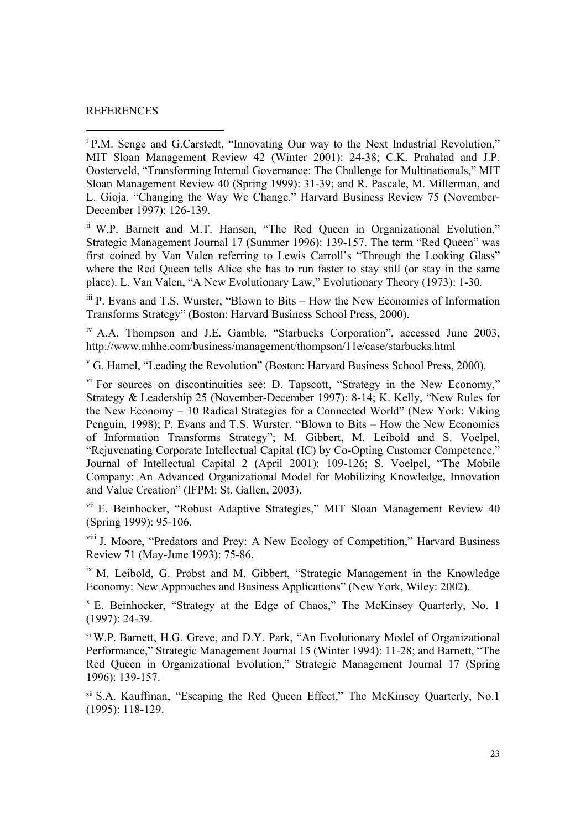### REFERENCES

 $\overline{a}$ 

<sup>i</sup> P.M. Senge and G.Carstedt, "Innovating Our way to the Next Industrial Revolution," MIT Sloan Management Review 42 (Winter 2001): 24-38; C.K. Prahalad and J.P. Oosterveld, "Transforming Internal Governance: The Challenge for Multinationals," MIT Sloan Management Review 40 (Spring 1999): 31-39; and R. Pascale, M. Millerman, and L. Gioja, "Changing the Way We Change," Harvard Business Review 75 (November-December 1997): 126-139.

ii W.P. Barnett and M.T. Hansen, "The Red Queen in Organizational Evolution," Strategic Management Journal 17 (Summer 1996): 139-157. The term "Red Queen" was first coined by Van Valen referring to Lewis Carroll's "Through the Looking Glass" where the Red Queen tells Alice she has to run faster to stay still (or stay in the same place). L. Van Valen, "A New Evolutionary Law," Evolutionary Theory (1973): 1-30.

iii P. Evans and T.S. Wurster, "Blown to Bits – How the New Economies of Information Transforms Strategy" (Boston: Harvard Business School Press, 2000).

iv A.A. Thompson and J.E. Gamble, "Starbucks Corporation", accessed June 2003, http://www.mhhe.com/business/management/thompson/11e/case/starbucks.html

<sup>v</sup> G. Hamel, "Leading the Revolution" (Boston: Harvard Business School Press, 2000).

vi For sources on discontinuities see: D. Tapscott, "Strategy in the New Economy," Strategy & Leadership 25 (November-December 1997): 8-14; K. Kelly, "New Rules for the New Economy – 10 Radical Strategies for a Connected World" (New York: Viking Penguin, 1998); P. Evans and T.S. Wurster, "Blown to Bits – How the New Economies of Information Transforms Strategy"; M. Gibbert, M. Leibold and S. Voelpel, "Rejuvenating Corporate Intellectual Capital (IC) by Co-Opting Customer Competence," Journal of Intellectual Capital 2 (April 2001): 109-126; S. Voelpel, "The Mobile Company: An Advanced Organizational Model for Mobilizing Knowledge, Innovation and Value Creation" (IFPM: St. Gallen, 2003).

<sup>vii</sup> E. Beinhocker, "Robust Adaptive Strategies," MIT Sloan Management Review 40 (Spring 1999): 95-106.

viii J. Moore, "Predators and Prey: A New Ecology of Competition," Harvard Business Review 71 (May-June 1993): 75-86.

<sup>ix</sup> M. Leibold, G. Probst and M. Gibbert, "Strategic Management in the Knowledge Economy: New Approaches and Business Applications" (New York, Wiley: 2002).

<sup>x</sup> E. Beinhocker, "Strategy at the Edge of Chaos," The McKinsey Quarterly, No. 1 (1997): 24-39.

xi W.P. Barnett, H.G. Greve, and D.Y. Park, "An Evolutionary Model of Organizational Performance," Strategic Management Journal 15 (Winter 1994): 11-28; and Barnett, "The Red Queen in Organizational Evolution," Strategic Management Journal 17 (Spring 1996): 139-157.

<sup>xii</sup> S.A. Kauffman, "Escaping the Red Queen Effect," The McKinsey Quarterly, No.1 (1995): 118-129.